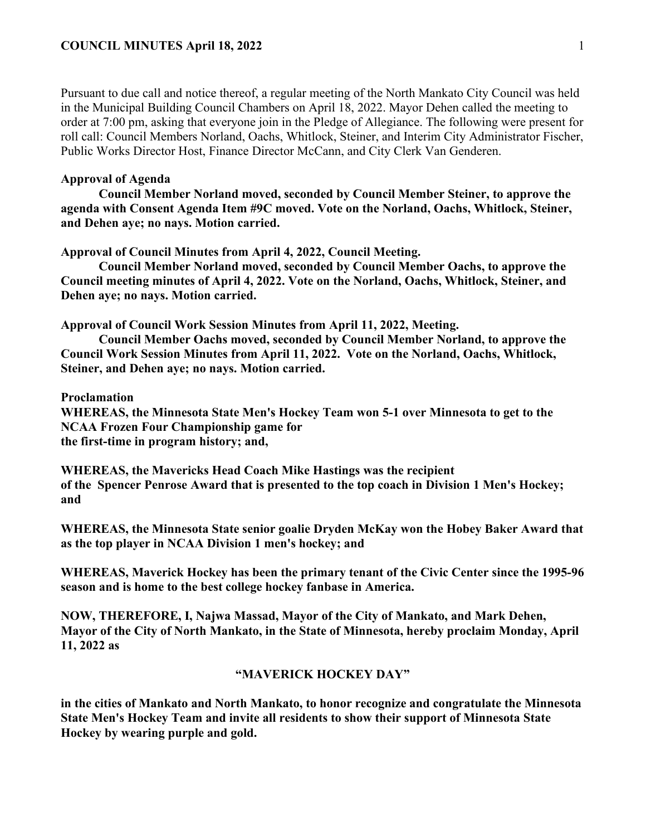### **COUNCIL MINUTES April 18, 2022** 1

Pursuant to due call and notice thereof, a regular meeting of the North Mankato City Council was held in the Municipal Building Council Chambers on April 18, 2022. Mayor Dehen called the meeting to order at 7:00 pm, asking that everyone join in the Pledge of Allegiance. The following were present for roll call: Council Members Norland, Oachs, Whitlock, Steiner, and Interim City Administrator Fischer, Public Works Director Host, Finance Director McCann, and City Clerk Van Genderen.

### **Approval of Agenda**

**Council Member Norland moved, seconded by Council Member Steiner, to approve the agenda with Consent Agenda Item #9C moved. Vote on the Norland, Oachs, Whitlock, Steiner, and Dehen aye; no nays. Motion carried.** 

**Approval of Council Minutes from April 4, 2022, Council Meeting.** 

**Council Member Norland moved, seconded by Council Member Oachs, to approve the Council meeting minutes of April 4, 2022. Vote on the Norland, Oachs, Whitlock, Steiner, and Dehen aye; no nays. Motion carried.** 

**Approval of Council Work Session Minutes from April 11, 2022, Meeting.**

**Council Member Oachs moved, seconded by Council Member Norland, to approve the Council Work Session Minutes from April 11, 2022. Vote on the Norland, Oachs, Whitlock, Steiner, and Dehen aye; no nays. Motion carried.** 

**Proclamation**

**WHEREAS, the Minnesota State Men's Hockey Team won 5-1 over Minnesota to get to the NCAA Frozen Four Championship game for the first-time in program history; and,** 

**WHEREAS, the Mavericks Head Coach Mike Hastings was the recipient of the Spencer Penrose Award that is presented to the top coach in Division 1 Men's Hockey; and**

**WHEREAS, the Minnesota State senior goalie Dryden McKay won the Hobey Baker Award that as the top player in NCAA Division 1 men's hockey; and**

**WHEREAS, Maverick Hockey has been the primary tenant of the Civic Center since the 1995-96 season and is home to the best college hockey fanbase in America.** 

**NOW, THEREFORE, I, Najwa Massad, Mayor of the City of Mankato, and Mark Dehen, Mayor of the City of North Mankato, in the State of Minnesota, hereby proclaim Monday, April 11, 2022 as** 

### **"MAVERICK HOCKEY DAY"**

**in the cities of Mankato and North Mankato, to honor recognize and congratulate the Minnesota State Men's Hockey Team and invite all residents to show their support of Minnesota State Hockey by wearing purple and gold.**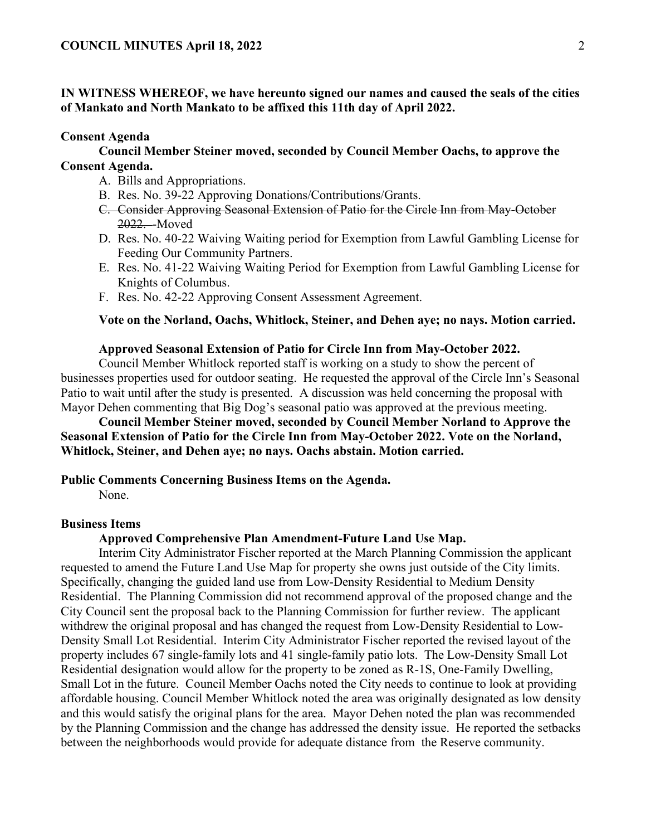# **IN WITNESS WHEREOF, we have hereunto signed our names and caused the seals of the cities of Mankato and North Mankato to be affixed this 11th day of April 2022.**

#### **Consent Agenda**

# **Council Member Steiner moved, seconded by Council Member Oachs, to approve the Consent Agenda.**

- A. Bills and Appropriations.
- B. Res. No. 39-22 Approving Donations/Contributions/Grants.
- C. Consider Approving Seasonal Extension of Patio for the Circle Inn from May-October 2022. - Moved
- D. Res. No. 40-22 Waiving Waiting period for Exemption from Lawful Gambling License for Feeding Our Community Partners.
- E. Res. No. 41-22 Waiving Waiting Period for Exemption from Lawful Gambling License for Knights of Columbus.
- F. Res. No. 42-22 Approving Consent Assessment Agreement.

# **Vote on the Norland, Oachs, Whitlock, Steiner, and Dehen aye; no nays. Motion carried.**

#### **Approved Seasonal Extension of Patio for Circle Inn from May-October 2022.**

Council Member Whitlock reported staff is working on a study to show the percent of businesses properties used for outdoor seating. He requested the approval of the Circle Inn's Seasonal Patio to wait until after the study is presented. A discussion was held concerning the proposal with Mayor Dehen commenting that Big Dog's seasonal patio was approved at the previous meeting.

# **Council Member Steiner moved, seconded by Council Member Norland to Approve the Seasonal Extension of Patio for the Circle Inn from May-October 2022. Vote on the Norland, Whitlock, Steiner, and Dehen aye; no nays. Oachs abstain. Motion carried.**

#### **Public Comments Concerning Business Items on the Agenda.**

None.

#### **Business Items**

### **Approved Comprehensive Plan Amendment-Future Land Use Map.**

Interim City Administrator Fischer reported at the March Planning Commission the applicant requested to amend the Future Land Use Map for property she owns just outside of the City limits. Specifically, changing the guided land use from Low-Density Residential to Medium Density Residential. The Planning Commission did not recommend approval of the proposed change and the City Council sent the proposal back to the Planning Commission for further review. The applicant withdrew the original proposal and has changed the request from Low-Density Residential to Low-Density Small Lot Residential. Interim City Administrator Fischer reported the revised layout of the property includes 67 single-family lots and 41 single-family patio lots. The Low-Density Small Lot Residential designation would allow for the property to be zoned as R-1S, One-Family Dwelling, Small Lot in the future. Council Member Oachs noted the City needs to continue to look at providing affordable housing. Council Member Whitlock noted the area was originally designated as low density and this would satisfy the original plans for the area. Mayor Dehen noted the plan was recommended by the Planning Commission and the change has addressed the density issue. He reported the setbacks between the neighborhoods would provide for adequate distance from the Reserve community.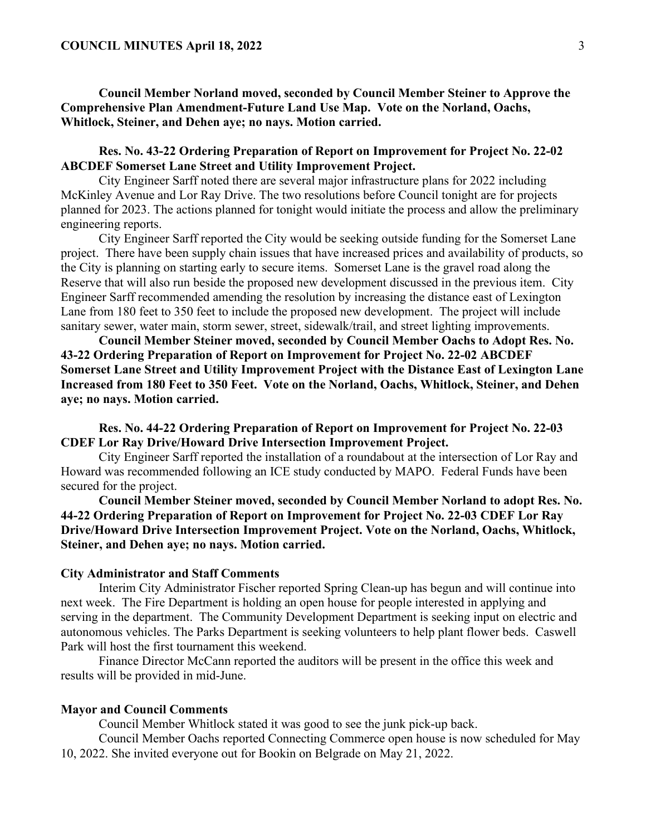**Council Member Norland moved, seconded by Council Member Steiner to Approve the Comprehensive Plan Amendment-Future Land Use Map. Vote on the Norland, Oachs, Whitlock, Steiner, and Dehen aye; no nays. Motion carried.** 

# **Res. No. 43-22 Ordering Preparation of Report on Improvement for Project No. 22-02 ABCDEF Somerset Lane Street and Utility Improvement Project.**

City Engineer Sarff noted there are several major infrastructure plans for 2022 including McKinley Avenue and Lor Ray Drive. The two resolutions before Council tonight are for projects planned for 2023. The actions planned for tonight would initiate the process and allow the preliminary engineering reports.

City Engineer Sarff reported the City would be seeking outside funding for the Somerset Lane project. There have been supply chain issues that have increased prices and availability of products, so the City is planning on starting early to secure items. Somerset Lane is the gravel road along the Reserve that will also run beside the proposed new development discussed in the previous item. City Engineer Sarff recommended amending the resolution by increasing the distance east of Lexington Lane from 180 feet to 350 feet to include the proposed new development. The project will include sanitary sewer, water main, storm sewer, street, sidewalk/trail, and street lighting improvements.

**Council Member Steiner moved, seconded by Council Member Oachs to Adopt Res. No. 43-22 Ordering Preparation of Report on Improvement for Project No. 22-02 ABCDEF Somerset Lane Street and Utility Improvement Project with the Distance East of Lexington Lane Increased from 180 Feet to 350 Feet. Vote on the Norland, Oachs, Whitlock, Steiner, and Dehen aye; no nays. Motion carried.** 

**Res. No. 44-22 Ordering Preparation of Report on Improvement for Project No. 22-03 CDEF Lor Ray Drive/Howard Drive Intersection Improvement Project.**

City Engineer Sarff reported the installation of a roundabout at the intersection of Lor Ray and Howard was recommended following an ICE study conducted by MAPO. Federal Funds have been secured for the project.

**Council Member Steiner moved, seconded by Council Member Norland to adopt Res. No. 44-22 Ordering Preparation of Report on Improvement for Project No. 22-03 CDEF Lor Ray Drive/Howard Drive Intersection Improvement Project. Vote on the Norland, Oachs, Whitlock, Steiner, and Dehen aye; no nays. Motion carried.** 

#### **City Administrator and Staff Comments**

Interim City Administrator Fischer reported Spring Clean-up has begun and will continue into next week. The Fire Department is holding an open house for people interested in applying and serving in the department. The Community Development Department is seeking input on electric and autonomous vehicles. The Parks Department is seeking volunteers to help plant flower beds. Caswell Park will host the first tournament this weekend.

Finance Director McCann reported the auditors will be present in the office this week and results will be provided in mid-June.

#### **Mayor and Council Comments**

Council Member Whitlock stated it was good to see the junk pick-up back.

Council Member Oachs reported Connecting Commerce open house is now scheduled for May 10, 2022. She invited everyone out for Bookin on Belgrade on May 21, 2022.